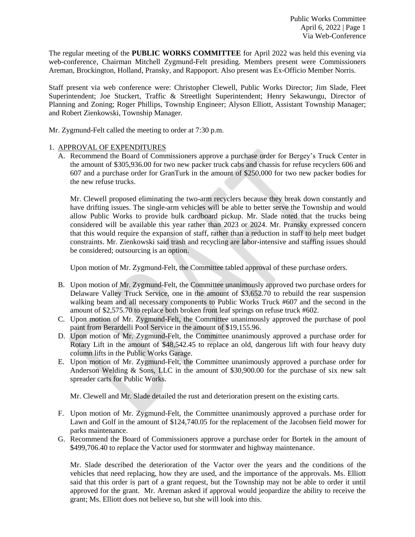The regular meeting of the **PUBLIC WORKS COMMITTEE** for April 2022 was held this evening via web-conference, Chairman Mitchell Zygmund-Felt presiding. Members present were Commissioners Areman, Brockington, Holland, Pransky, and Rappoport. Also present was Ex-Officio Member Norris.

Staff present via web conference were: Christopher Clewell, Public Works Director; Jim Slade, Fleet Superintendent; Joe Stuckert, Traffic & Streetlight Superintendent; Henry Sekawungu, Director of Planning and Zoning; Roger Phillips, Township Engineer; Alyson Elliott, Assistant Township Manager; and Robert Zienkowski, Township Manager.

Mr. Zygmund-Felt called the meeting to order at 7:30 p.m.

## 1. APPROVAL OF EXPENDITURES

A. Recommend the Board of Commissioners approve a purchase order for Bergey's Truck Center in the amount of \$305,936.00 for two new packer truck cabs and chassis for refuse recyclers 606 and 607 and a purchase order for GranTurk in the amount of \$250,000 for two new packer bodies for the new refuse trucks.

Mr. Clewell proposed eliminating the two-arm recyclers because they break down constantly and have drifting issues. The single-arm vehicles will be able to better serve the Township and would allow Public Works to provide bulk cardboard pickup. Mr. Slade noted that the trucks being considered will be available this year rather than 2023 or 2024. Mr. Pransky expressed concern that this would require the expansion of staff, rather than a reduction in staff to help meet budget constraints. Mr. Zienkowski said trash and recycling are labor-intensive and staffing issues should be considered; outsourcing is an option.

Upon motion of Mr. Zygmund-Felt, the Committee tabled approval of these purchase orders.

- B. Upon motion of Mr. Zygmund-Felt, the Committee unanimously approved two purchase orders for Delaware Valley Truck Service, one in the amount of \$3,652.70 to rebuild the rear suspension walking beam and all necessary components to Public Works Truck #607 and the second in the amount of \$2,575.70 to replace both broken front leaf springs on refuse truck #602.
- C. Upon motion of Mr. Zygmund-Felt, the Committee unanimously approved the purchase of pool paint from Berardelli Pool Service in the amount of \$19,155.96.
- D. Upon motion of Mr. Zygmund-Felt, the Committee unanimously approved a purchase order for Rotary Lift in the amount of \$48,542.45 to replace an old, dangerous lift with four heavy duty column lifts in the Public Works Garage.
- E. Upon motion of Mr. Zygmund-Felt, the Committee unanimously approved a purchase order for Anderson Welding & Sons, LLC in the amount of \$30,900.00 for the purchase of six new salt spreader carts for Public Works.

Mr. Clewell and Mr. Slade detailed the rust and deterioration present on the existing carts.

- F. Upon motion of Mr. Zygmund-Felt, the Committee unanimously approved a purchase order for Lawn and Golf in the amount of \$124,740.05 for the replacement of the Jacobsen field mower for parks maintenance.
- G. Recommend the Board of Commissioners approve a purchase order for Bortek in the amount of \$499,706.40 to replace the Vactor used for stormwater and highway maintenance.

Mr. Slade described the deterioration of the Vactor over the years and the conditions of the vehicles that need replacing, how they are used, and the importance of the approvals. Ms. Elliott said that this order is part of a grant request, but the Township may not be able to order it until approved for the grant. Mr. Areman asked if approval would jeopardize the ability to receive the grant; Ms. Elliott does not believe so, but she will look into this.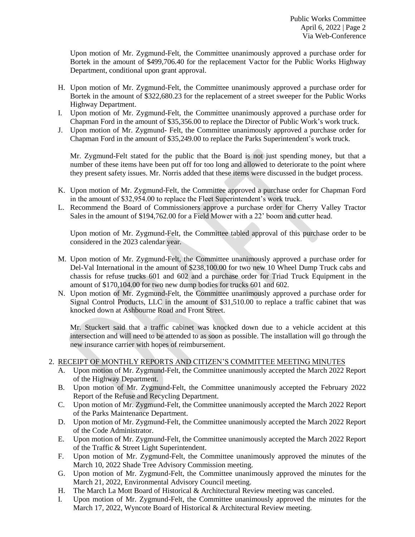Upon motion of Mr. Zygmund-Felt, the Committee unanimously approved a purchase order for Bortek in the amount of \$499,706.40 for the replacement Vactor for the Public Works Highway Department, conditional upon grant approval.

- H. Upon motion of Mr. Zygmund-Felt, the Committee unanimously approved a purchase order for Bortek in the amount of \$322,680.23 for the replacement of a street sweeper for the Public Works Highway Department.
- I. Upon motion of Mr. Zygmund-Felt, the Committee unanimously approved a purchase order for Chapman Ford in the amount of \$35,356.00 to replace the Director of Public Work's work truck.
- J. Upon motion of Mr. Zygmund- Felt, the Committee unanimously approved a purchase order for Chapman Ford in the amount of \$35,249.00 to replace the Parks Superintendent's work truck.

Mr. Zygmund-Felt stated for the public that the Board is not just spending money, but that a number of these items have been put off for too long and allowed to deteriorate to the point where they present safety issues. Mr. Norris added that these items were discussed in the budget process.

- K. Upon motion of Mr. Zygmund-Felt, the Committee approved a purchase order for Chapman Ford in the amount of \$32,954.00 to replace the Fleet Superintendent's work truck.
- L. Recommend the Board of Commissioners approve a purchase order for Cherry Valley Tractor Sales in the amount of \$194,762.00 for a Field Mower with a 22' boom and cutter head.

Upon motion of Mr. Zygmund-Felt, the Committee tabled approval of this purchase order to be considered in the 2023 calendar year.

- M. Upon motion of Mr. Zygmund-Felt, the Committee unanimously approved a purchase order for Del-Val International in the amount of \$238,100.00 for two new 10 Wheel Dump Truck cabs and chassis for refuse trucks 601 and 602 and a purchase order for Triad Truck Equipment in the amount of \$170,104.00 for two new dump bodies for trucks 601 and 602.
- N. Upon motion of Mr. Zygmund-Felt, the Committee unanimously approved a purchase order for Signal Control Products, LLC in the amount of \$31,510.00 to replace a traffic cabinet that was knocked down at Ashbourne Road and Front Street.

Mr. Stuckert said that a traffic cabinet was knocked down due to a vehicle accident at this intersection and will need to be attended to as soon as possible. The installation will go through the new insurance carrier with hopes of reimbursement.

### 2. RECEIPT OF MONTHLY REPORTS AND CITIZEN'S COMMITTEE MEETING MINUTES

- A. Upon motion of Mr. Zygmund-Felt, the Committee unanimously accepted the March 2022 Report of the Highway Department.
- B. Upon motion of Mr. Zygmund-Felt, the Committee unanimously accepted the February 2022 Report of the Refuse and Recycling Department.
- C. Upon motion of Mr. Zygmund-Felt, the Committee unanimously accepted the March 2022 Report of the Parks Maintenance Department.
- D. Upon motion of Mr. Zygmund-Felt, the Committee unanimously accepted the March 2022 Report of the Code Administrator.
- E. Upon motion of Mr. Zygmund-Felt, the Committee unanimously accepted the March 2022 Report of the Traffic & Street Light Superintendent.
- F. Upon motion of Mr. Zygmund-Felt, the Committee unanimously approved the minutes of the March 10, 2022 Shade Tree Advisory Commission meeting.
- G. Upon motion of Mr. Zygmund-Felt, the Committee unanimously approved the minutes for the March 21, 2022, Environmental Advisory Council meeting.
- H. The March La Mott Board of Historical & Architectural Review meeting was canceled.
- I. Upon motion of Mr. Zygmund-Felt, the Committee unanimously approved the minutes for the March 17, 2022, Wyncote Board of Historical & Architectural Review meeting.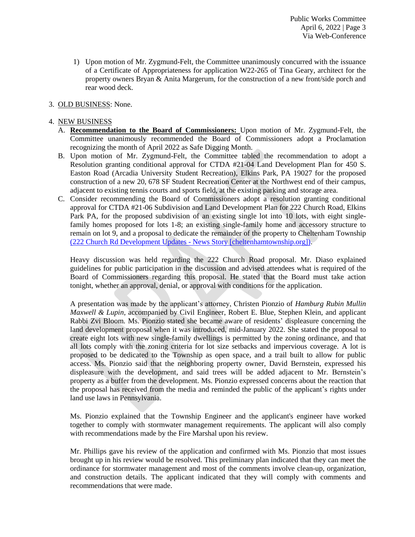Public Works Committee April 6, 2022 | Page 3 Via Web-Conference

1) Upon motion of Mr. Zygmund-Felt, the Committee unanimously concurred with the issuance of a Certificate of Appropriateness for application W22-265 of Tina Geary, architect for the property owners Bryan & Anita Margerum, for the construction of a new front/side porch and rear wood deck.

# 3. OLD BUSINESS: None.

### 4. NEW BUSINESS

- A. **Recommendation to the Board of Commissioners:** Upon motion of Mr. Zygmund-Felt, the Committee unanimously recommended the Board of Commissioners adopt a Proclamation recognizing the month of April 2022 as Safe Digging Month.
- B. Upon motion of Mr. Zygmund-Felt, the Committee tabled the recommendation to adopt a Resolution granting conditional approval for CTDA #21-04 Land Development Plan for 450 S. Easton Road (Arcadia University Student Recreation), Elkins Park, PA 19027 for the proposed construction of a new 20, 678 SF Student Recreation Center at the Northwest end of their campus, adjacent to existing tennis courts and sports field, at the existing parking and storage area.
- C. Consider recommending the Board of Commissioners adopt a resolution granting conditional approval for CTDA #21-06 Subdivision and Land Development Plan for 222 Church Road, Elkins Park PA, for the proposed subdivision of an existing single lot into 10 lots, with eight singlefamily homes proposed for lots 1-8; an existing single-family home and accessory structure to remain on lot 9, and a proposal to dedicate the remainder of the property to Cheltenham Township [\(222 Church Rd Development Updates -](https://www.cheltenhamtownship.org/newsview.aspx?nid=6348) News Story [cheltenhamtownship.org]).

Heavy discussion was held regarding the 222 Church Road proposal. Mr. Diaso explained guidelines for public participation in the discussion and advised attendees what is required of the Board of Commissioners regarding this proposal. He stated that the Board must take action tonight, whether an approval, denial, or approval with conditions for the application.

A presentation was made by the applicant's attorney, Christen Pionzio of *Hamburg Rubin Mullin Maxwell & Lupin,* accompanied by Civil Engineer, Robert E. Blue, Stephen Klein, and applicant Rabbi Zvi Bloom. Ms. Pionzio stated she became aware of residents' displeasure concerning the land development proposal when it was introduced, mid-January 2022. She stated the proposal to create eight lots with new single-family dwellings is permitted by the zoning ordinance, and that all lots comply with the zoning criteria for lot size setbacks and impervious coverage. A lot is proposed to be dedicated to the Township as open space, and a trail built to allow for public access. Ms. Pionzio said that the neighboring property owner, David Bernstein, expressed his displeasure with the development, and said trees will be added adjacent to Mr. Bernstein's property as a buffer from the development. Ms. Pionzio expressed concerns about the reaction that the proposal has received from the media and reminded the public of the applicant's rights under land use laws in Pennsylvania.

Ms. Pionzio explained that the Township Engineer and the applicant's engineer have worked together to comply with stormwater management requirements. The applicant will also comply with recommendations made by the Fire Marshal upon his review.

Mr. Phillips gave his review of the application and confirmed with Ms. Pionzio that most issues brought up in his review would be resolved. This preliminary plan indicated that they can meet the ordinance for stormwater management and most of the comments involve clean-up, organization, and construction details. The applicant indicated that they will comply with comments and recommendations that were made.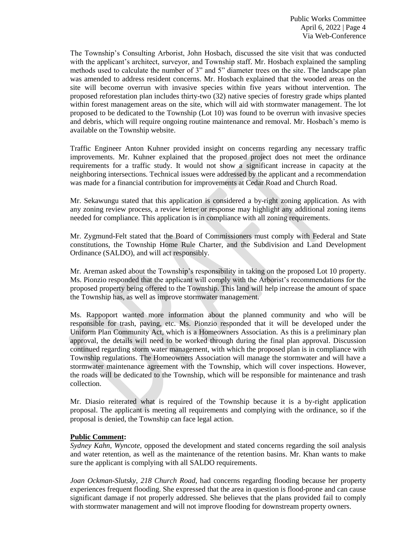The Township's Consulting Arborist, John Hosbach, discussed the site visit that was conducted with the applicant's architect, surveyor, and Township staff. Mr. Hosbach explained the sampling methods used to calculate the number of 3" and 5" diameter trees on the site. The landscape plan was amended to address resident concerns. Mr. Hosbach explained that the wooded areas on the site will become overrun with invasive species within five years without intervention. The proposed reforestation plan includes thirty-two (32) native species of forestry grade whips planted within forest management areas on the site, which will aid with stormwater management. The lot proposed to be dedicated to the Township (Lot 10) was found to be overrun with invasive species and debris, which will require ongoing routine maintenance and removal. Mr. Hosbach's memo is available on the Township website.

Traffic Engineer Anton Kuhner provided insight on concerns regarding any necessary traffic improvements. Mr. Kuhner explained that the proposed project does not meet the ordinance requirements for a traffic study. It would not show a significant increase in capacity at the neighboring intersections. Technical issues were addressed by the applicant and a recommendation was made for a financial contribution for improvements at Cedar Road and Church Road.

Mr. Sekawungu stated that this application is considered a by-right zoning application. As with any zoning review process, a review letter or response may highlight any additional zoning items needed for compliance. This application is in compliance with all zoning requirements.

Mr. Zygmund-Felt stated that the Board of Commissioners must comply with Federal and State constitutions, the Township Home Rule Charter, and the Subdivision and Land Development Ordinance (SALDO), and will act responsibly.

Mr. Areman asked about the Township's responsibility in taking on the proposed Lot 10 property. Ms. Pionzio responded that the applicant will comply with the Arborist's recommendations for the proposed property being offered to the Township. This land will help increase the amount of space the Township has, as well as improve stormwater management.

Ms. Rappoport wanted more information about the planned community and who will be responsible for trash, paving, etc. Ms. Pionzio responded that it will be developed under the Uniform Plan Community Act, which is a Homeowners Association. As this is a preliminary plan approval, the details will need to be worked through during the final plan approval. Discussion continued regarding storm water management, with which the proposed plan is in compliance with Township regulations. The Homeowners Association will manage the stormwater and will have a stormwater maintenance agreement with the Township, which will cover inspections. However, the roads will be dedicated to the Township, which will be responsible for maintenance and trash collection.

Mr. Diasio reiterated what is required of the Township because it is a by-right application proposal. The applicant is meeting all requirements and complying with the ordinance, so if the proposal is denied, the Township can face legal action.

### **Public Comment:**

*Sydney Kahn, Wyncote,* opposed the development and stated concerns regarding the soil analysis and water retention, as well as the maintenance of the retention basins. Mr. Khan wants to make sure the applicant is complying with all SALDO requirements.

*Joan Ockman-Slutsky, 218 Church Road*, had concerns regarding flooding because her property experiences frequent flooding. She expressed that the area in question is flood-prone and can cause significant damage if not properly addressed. She believes that the plans provided fail to comply with stormwater management and will not improve flooding for downstream property owners.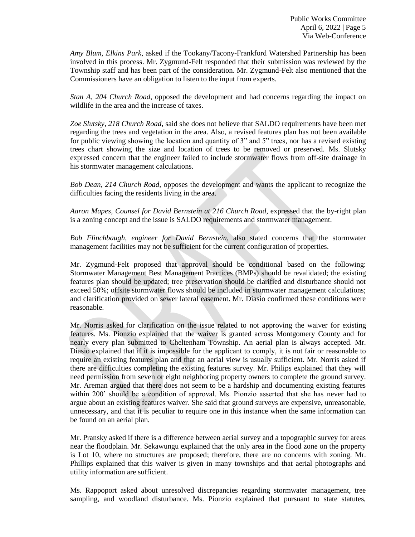*Amy Blum, Elkins Park*, asked if the Tookany/Tacony-Frankford Watershed Partnership has been involved in this process. Mr. Zygmund-Felt responded that their submission was reviewed by the Township staff and has been part of the consideration. Mr. Zygmund-Felt also mentioned that the Commissioners have an obligation to listen to the input from experts.

*Stan A, 204 Church Road*, opposed the development and had concerns regarding the impact on wildlife in the area and the increase of taxes.

*Zoe Slutsky, 218 Church Road*, said she does not believe that SALDO requirements have been met regarding the trees and vegetation in the area. Also, a revised features plan has not been available for public viewing showing the location and quantity of 3" and 5" trees, nor has a revised existing trees chart showing the size and location of trees to be removed or preserved. Ms. Slutsky expressed concern that the engineer failed to include stormwater flows from off-site drainage in his stormwater management calculations.

*Bob Dean*, *214 Church Road,* opposes the development and wants the applicant to recognize the difficulties facing the residents living in the area.

*Aaron Mapes, Counsel for David Bernstein at 216 Church Road*, expressed that the by-right plan is a zoning concept and the issue is SALDO requirements and stormwater management.

*Bob Flinchbaugh*, *engineer for David Bernstein*, also stated concerns that the stormwater management facilities may not be sufficient for the current configuration of properties.

Mr. Zygmund-Felt proposed that approval should be conditional based on the following: Stormwater Management Best Management Practices (BMPs) should be revalidated; the existing features plan should be updated; tree preservation should be clarified and disturbance should not exceed 50%; offsite stormwater flows should be included in stormwater management calculations; and clarification provided on sewer lateral easement. Mr. Diasio confirmed these conditions were reasonable.

Mr. Norris asked for clarification on the issue related to not approving the waiver for existing features. Ms. Pionzio explained that the waiver is granted across Montgomery County and for nearly every plan submitted to Cheltenham Township. An aerial plan is always accepted. Mr. Diasio explained that if it is impossible for the applicant to comply, it is not fair or reasonable to require an existing features plan and that an aerial view is usually sufficient. Mr. Norris asked if there are difficulties completing the existing features survey. Mr. Philips explained that they will need permission from seven or eight neighboring property owners to complete the ground survey. Mr. Areman argued that there does not seem to be a hardship and documenting existing features within 200' should be a condition of approval. Ms. Pionzio asserted that she has never had to argue about an existing features waiver. She said that ground surveys are expensive, unreasonable, unnecessary, and that it is peculiar to require one in this instance when the same information can be found on an aerial plan.

Mr. Pransky asked if there is a difference between aerial survey and a topographic survey for areas near the floodplain. Mr. Sekawungu explained that the only area in the flood zone on the property is Lot 10, where no structures are proposed; therefore, there are no concerns with zoning. Mr. Phillips explained that this waiver is given in many townships and that aerial photographs and utility information are sufficient.

Ms. Rappoport asked about unresolved discrepancies regarding stormwater management, tree sampling, and woodland disturbance. Ms. Pionzio explained that pursuant to state statutes,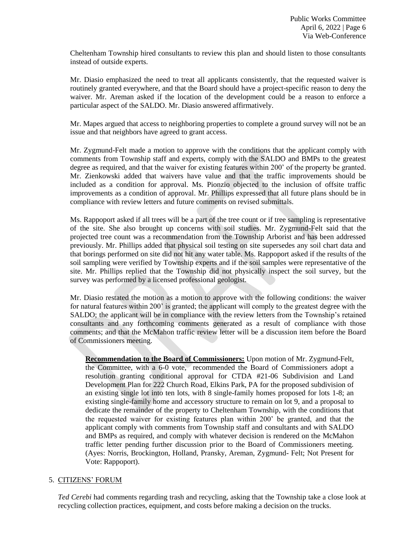Cheltenham Township hired consultants to review this plan and should listen to those consultants instead of outside experts.

Mr. Diasio emphasized the need to treat all applicants consistently, that the requested waiver is routinely granted everywhere, and that the Board should have a project-specific reason to deny the waiver. Mr. Areman asked if the location of the development could be a reason to enforce a particular aspect of the SALDO. Mr. Diasio answered affirmatively.

Mr. Mapes argued that access to neighboring properties to complete a ground survey will not be an issue and that neighbors have agreed to grant access.

Mr. Zygmund-Felt made a motion to approve with the conditions that the applicant comply with comments from Township staff and experts, comply with the SALDO and BMPs to the greatest degree as required, and that the waiver for existing features within 200' of the property be granted. Mr. Zienkowski added that waivers have value and that the traffic improvements should be included as a condition for approval. Ms. Pionzio objected to the inclusion of offsite traffic improvements as a condition of approval. Mr. Phillips expressed that all future plans should be in compliance with review letters and future comments on revised submittals.

Ms. Rappoport asked if all trees will be a part of the tree count or if tree sampling is representative of the site. She also brought up concerns with soil studies. Mr. Zygmund-Felt said that the projected tree count was a recommendation from the Township Arborist and has been addressed previously. Mr. Phillips added that physical soil testing on site supersedes any soil chart data and that borings performed on site did not hit any water table. Ms. Rappoport asked if the results of the soil sampling were verified by Township experts and if the soil samples were representative of the site. Mr. Phillips replied that the Township did not physically inspect the soil survey, but the survey was performed by a licensed professional geologist.

Mr. Diasio restated the motion as a motion to approve with the following conditions: the waiver for natural features within 200' is granted; the applicant will comply to the greatest degree with the SALDO; the applicant will be in compliance with the review letters from the Township's retained consultants and any forthcoming comments generated as a result of compliance with those comments; and that the McMahon traffic review letter will be a discussion item before the Board of Commissioners meeting.

**Recommendation to the Board of Commissioners:** Upon motion of Mr. Zygmund-Felt, the Committee, with a 6-0 vote, recommended the Board of Commissioners adopt a resolution granting conditional approval for CTDA #21-06 Subdivision and Land Development Plan for 222 Church Road, Elkins Park, PA for the proposed subdivision of an existing single lot into ten lots, with 8 single-family homes proposed for lots 1-8; an existing single-family home and accessory structure to remain on lot 9, and a proposal to dedicate the remainder of the property to Cheltenham Township, with the conditions that the requested waiver for existing features plan within 200' be granted, and that the applicant comply with comments from Township staff and consultants and with SALDO and BMPs as required, and comply with whatever decision is rendered on the McMahon traffic letter pending further discussion prior to the Board of Commissioners meeting. (Ayes: Norris, Brockington, Holland, Pransky, Areman, Zygmund- Felt; Not Present for Vote: Rappoport).

### 5. CITIZENS' FORUM

*Ted Cerebi* had comments regarding trash and recycling, asking that the Township take a close look at recycling collection practices, equipment, and costs before making a decision on the trucks.